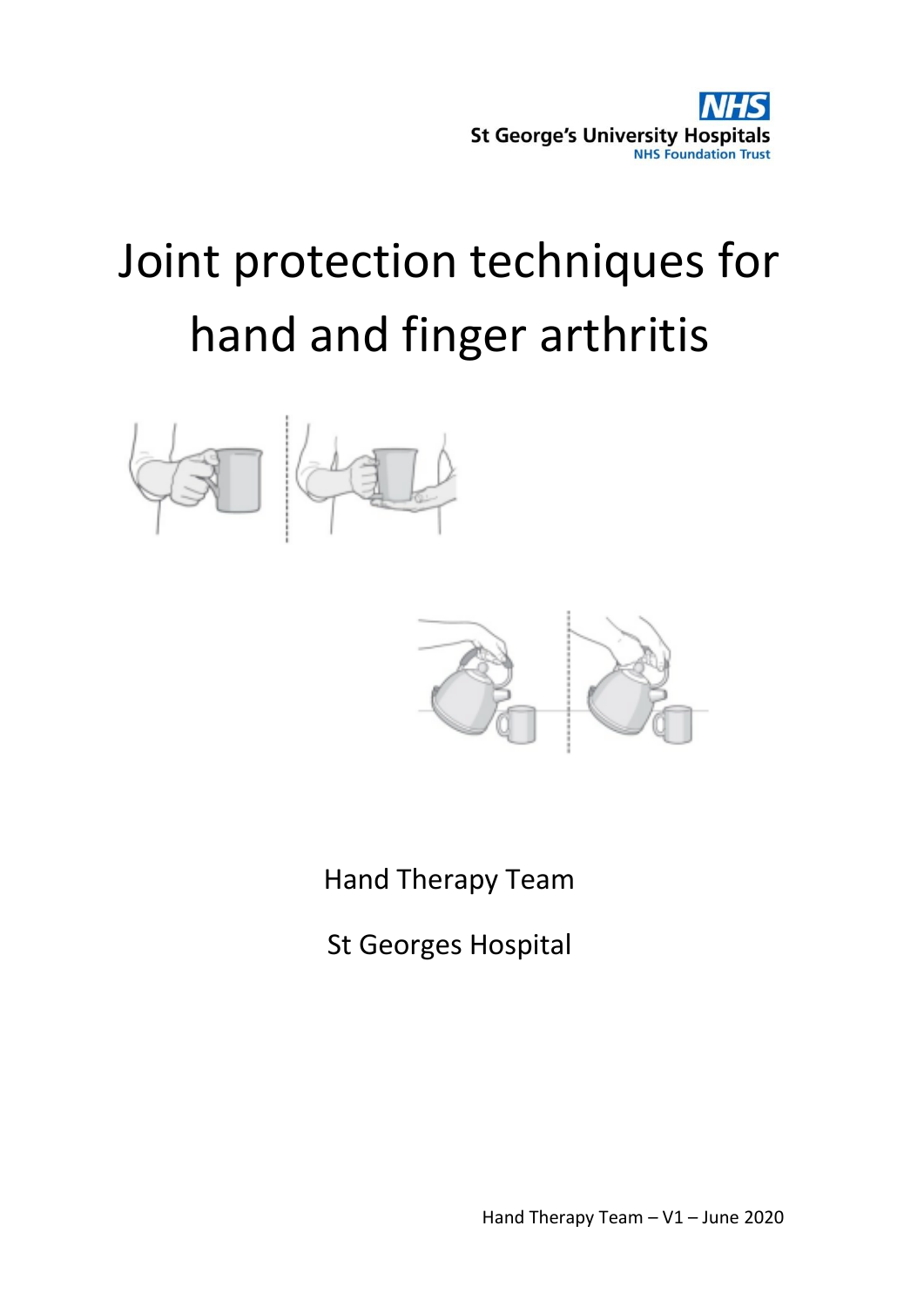

# Joint protection techniques for hand and finger arthritis





Hand Therapy Team

St Georges Hospital

Hand Therapy Team – V1 – June 2020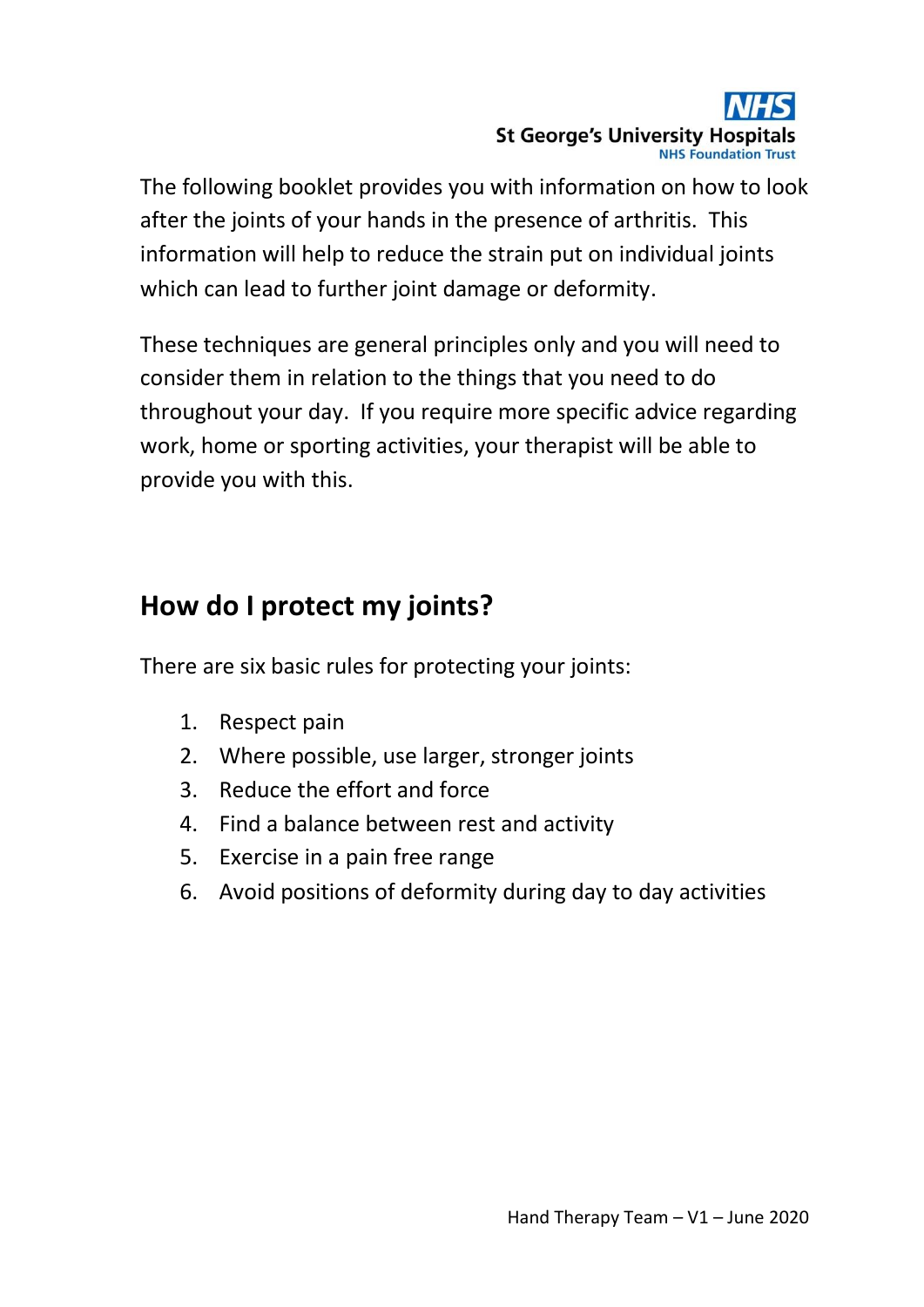

The following booklet provides you with information on how to look after the joints of your hands in the presence of arthritis. This information will help to reduce the strain put on individual joints which can lead to further joint damage or deformity.

These techniques are general principles only and you will need to consider them in relation to the things that you need to do throughout your day. If you require more specific advice regarding work, home or sporting activities, your therapist will be able to provide you with this.

## **How do I protect my joints?**

There are six basic rules for protecting your joints:

- 1. Respect pain
- 2. Where possible, use larger, stronger joints
- 3. Reduce the effort and force
- 4. Find a balance between rest and activity
- 5. Exercise in a pain free range
- 6. Avoid positions of deformity during day to day activities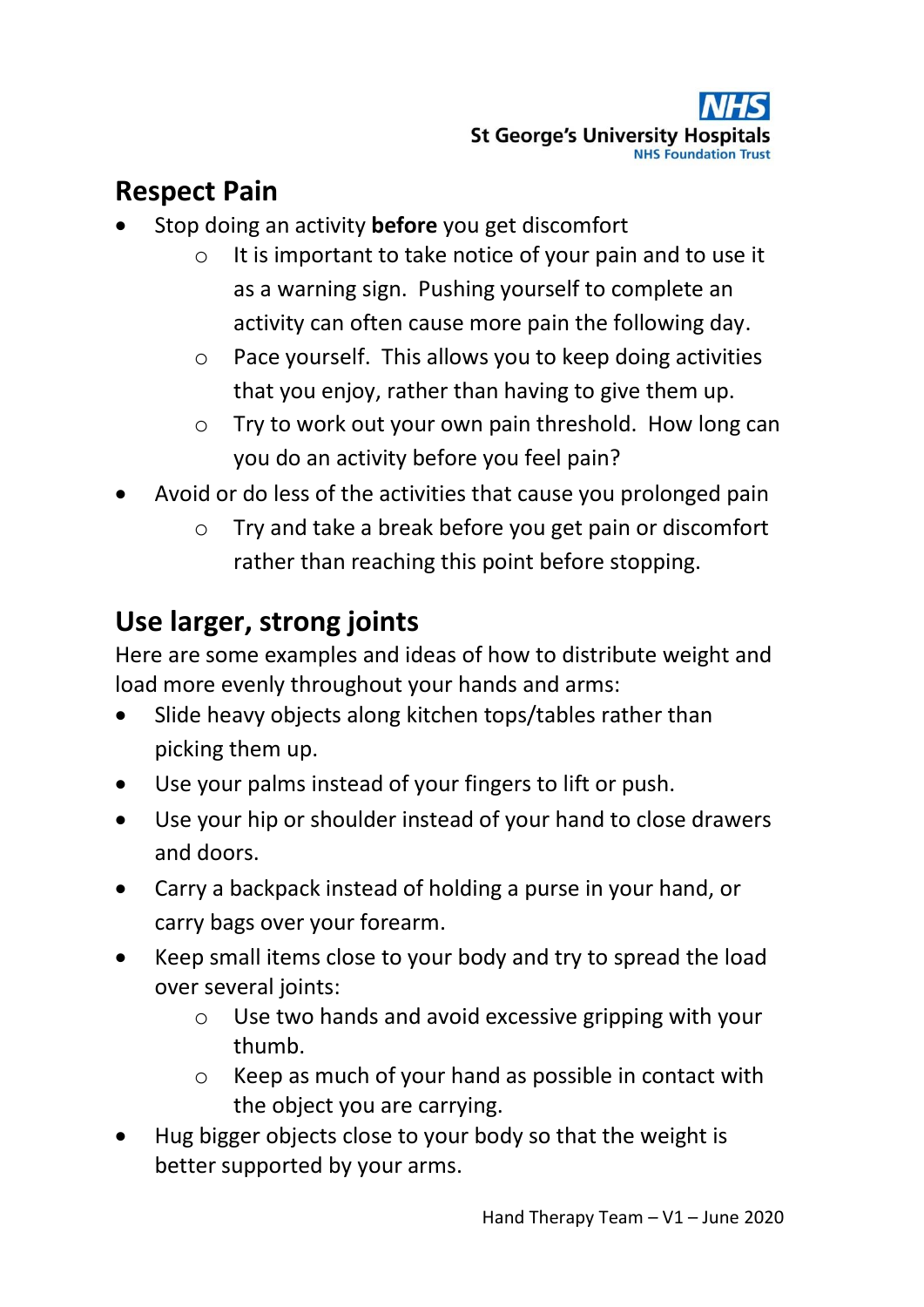# **Respect Pain**

- Stop doing an activity **before** you get discomfort
	- o It is important to take notice of your pain and to use it as a warning sign. Pushing yourself to complete an activity can often cause more pain the following day.
	- o Pace yourself. This allows you to keep doing activities that you enjoy, rather than having to give them up.
	- o Try to work out your own pain threshold. How long can you do an activity before you feel pain?
- Avoid or do less of the activities that cause you prolonged pain
	- o Try and take a break before you get pain or discomfort rather than reaching this point before stopping.

# **Use larger, strong joints**

Here are some examples and ideas of how to distribute weight and load more evenly throughout your hands and arms:

- Slide heavy objects along kitchen tops/tables rather than picking them up.
- Use your palms instead of your fingers to lift or push.
- Use your hip or shoulder instead of your hand to close drawers and doors.
- Carry a backpack instead of holding a purse in your hand, or carry bags over your forearm.
- Keep small items close to your body and try to spread the load over several joints:
	- o Use two hands and avoid excessive gripping with your thumb.
	- o Keep as much of your hand as possible in contact with the object you are carrying.
- Hug bigger objects close to your body so that the weight is better supported by your arms.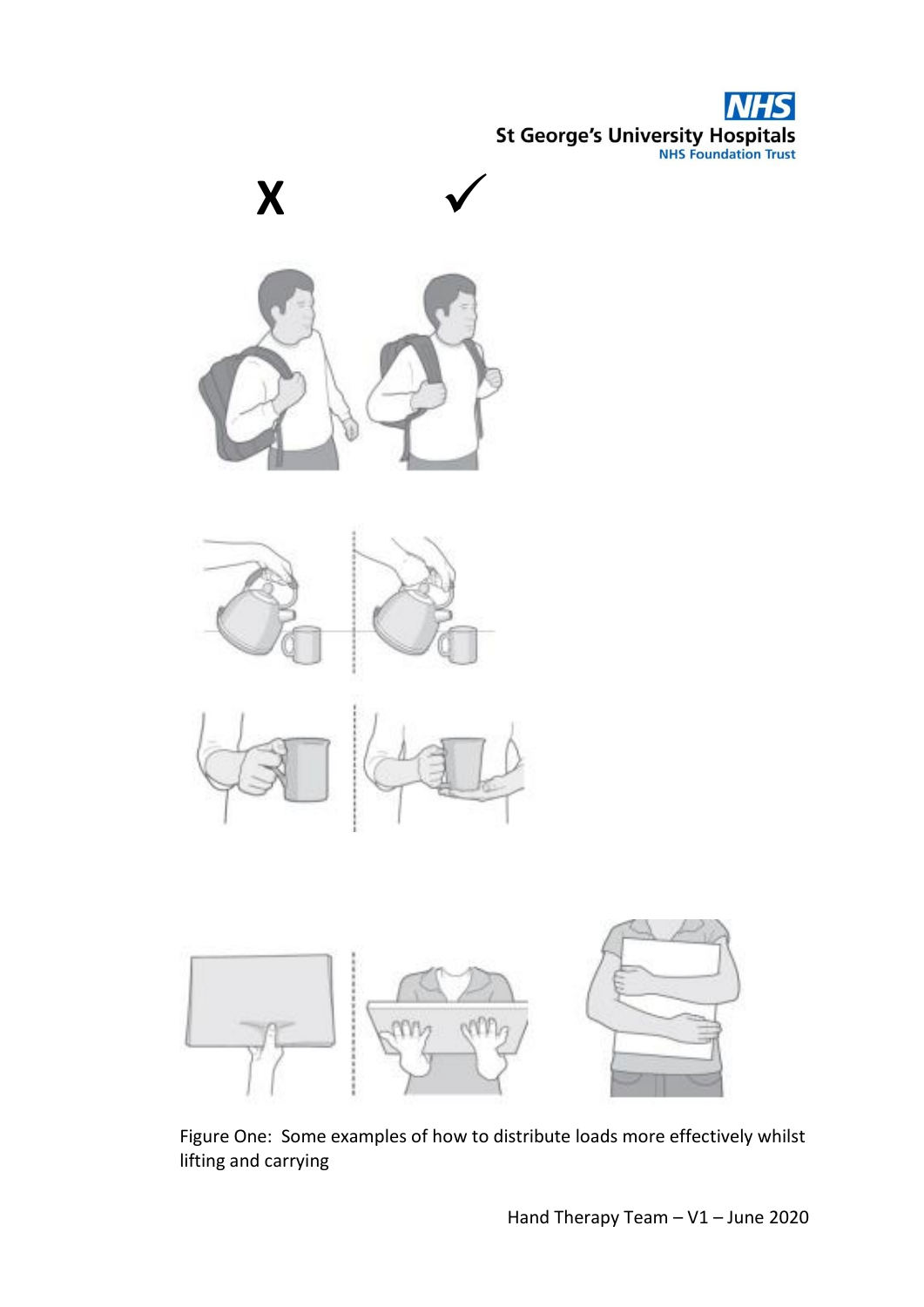**St George's University Hospitals** 









Figure One: Some examples of how to distribute loads more effectively whilst lifting and carrying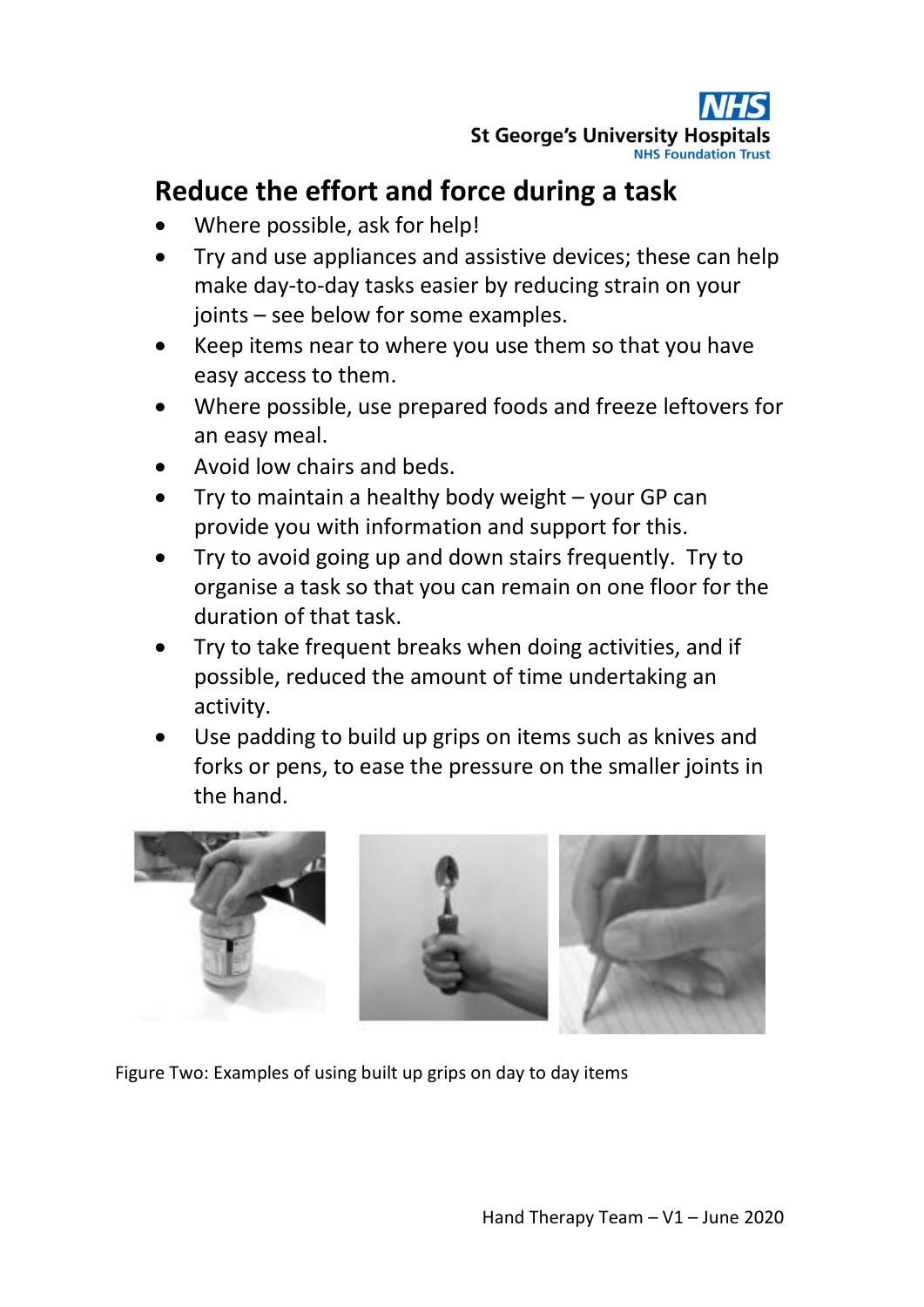

## **Reduce the effort and force during a task**

- Where possible, ask for help!
- Try and use appliances and assistive devices; these can help make day-to-day tasks easier by reducing strain on your joints – see below for some examples.
- Keep items near to where you use them so that you have easy access to them.
- Where possible, use prepared foods and freeze leftovers for an easy meal.
- Avoid low chairs and beds.
- Try to maintain a healthy body weight your GP can provide you with information and support for this.
- Try to avoid going up and down stairs frequently. Try to organise a task so that you can remain on one floor for the duration of that task.
- Try to take frequent breaks when doing activities, and if possible, reduced the amount of time undertaking an activity.
- Use padding to build up grips on items such as knives and forks or pens, to ease the pressure on the smaller joints in the hand.



Figure Two: Examples of using built up grips on day to day items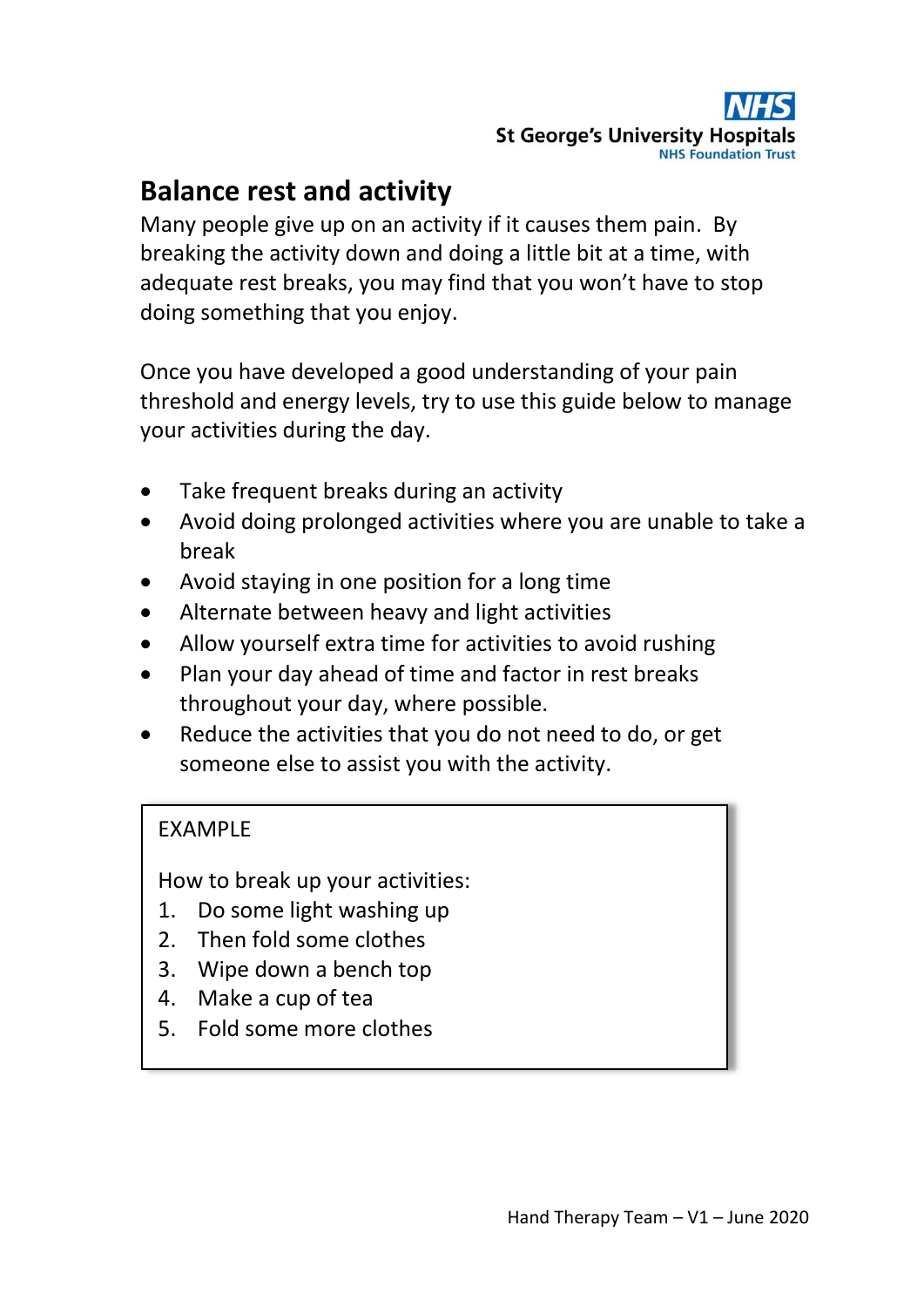## **Balance rest and activity**

Many people give up on an activity if it causes them pain. By breaking the activity down and doing a little bit at a time, with adequate rest breaks, you may find that you won't have to stop doing something that you enjoy.

Once you have developed a good understanding of your pain threshold and energy levels, try to use this guide below to manage your activities during the day.

- Take frequent breaks during an activity
- Avoid doing prolonged activities where you are unable to take a break
- Avoid staying in one position for a long time
- Alternate between heavy and light activities
- Allow yourself extra time for activities to avoid rushing
- Plan your day ahead of time and factor in rest breaks throughout your day, where possible.
- Reduce the activities that you do not need to do, or get someone else to assist you with the activity.

#### EXAMPLE

How to break up your activities:

- 1. Do some light washing up
- 2. Then fold some clothes
- 3. Wipe down a bench top
- 4. Make a cup of tea
- 5. Fold some more clothes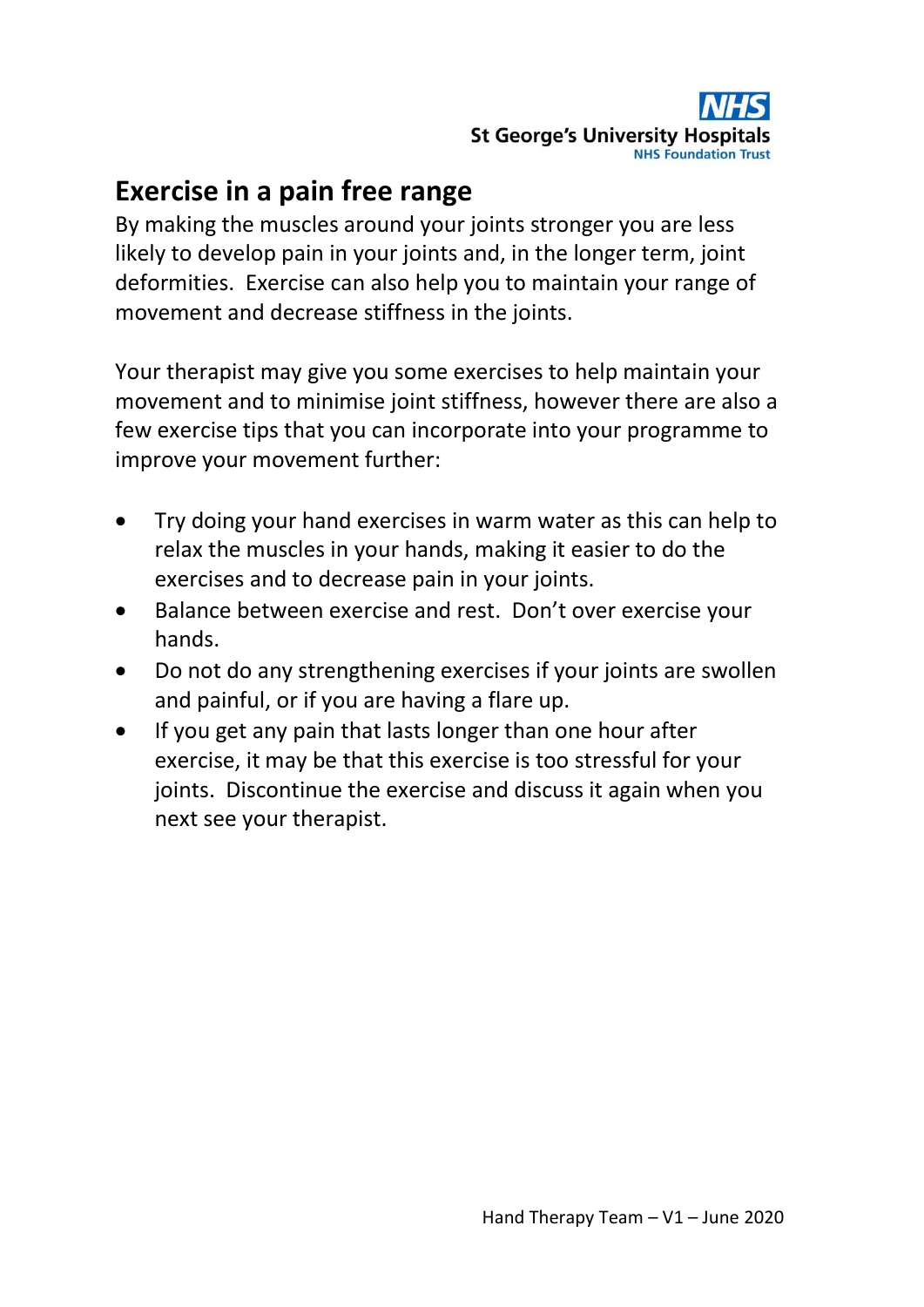## **Exercise in a pain free range**

By making the muscles around your joints stronger you are less likely to develop pain in your joints and, in the longer term, joint deformities. Exercise can also help you to maintain your range of movement and decrease stiffness in the joints.

Your therapist may give you some exercises to help maintain your movement and to minimise joint stiffness, however there are also a few exercise tips that you can incorporate into your programme to improve your movement further:

- Try doing your hand exercises in warm water as this can help to relax the muscles in your hands, making it easier to do the exercises and to decrease pain in your joints.
- Balance between exercise and rest. Don't over exercise your hands.
- Do not do any strengthening exercises if your joints are swollen and painful, or if you are having a flare up.
- If you get any pain that lasts longer than one hour after exercise, it may be that this exercise is too stressful for your joints. Discontinue the exercise and discuss it again when you next see your therapist.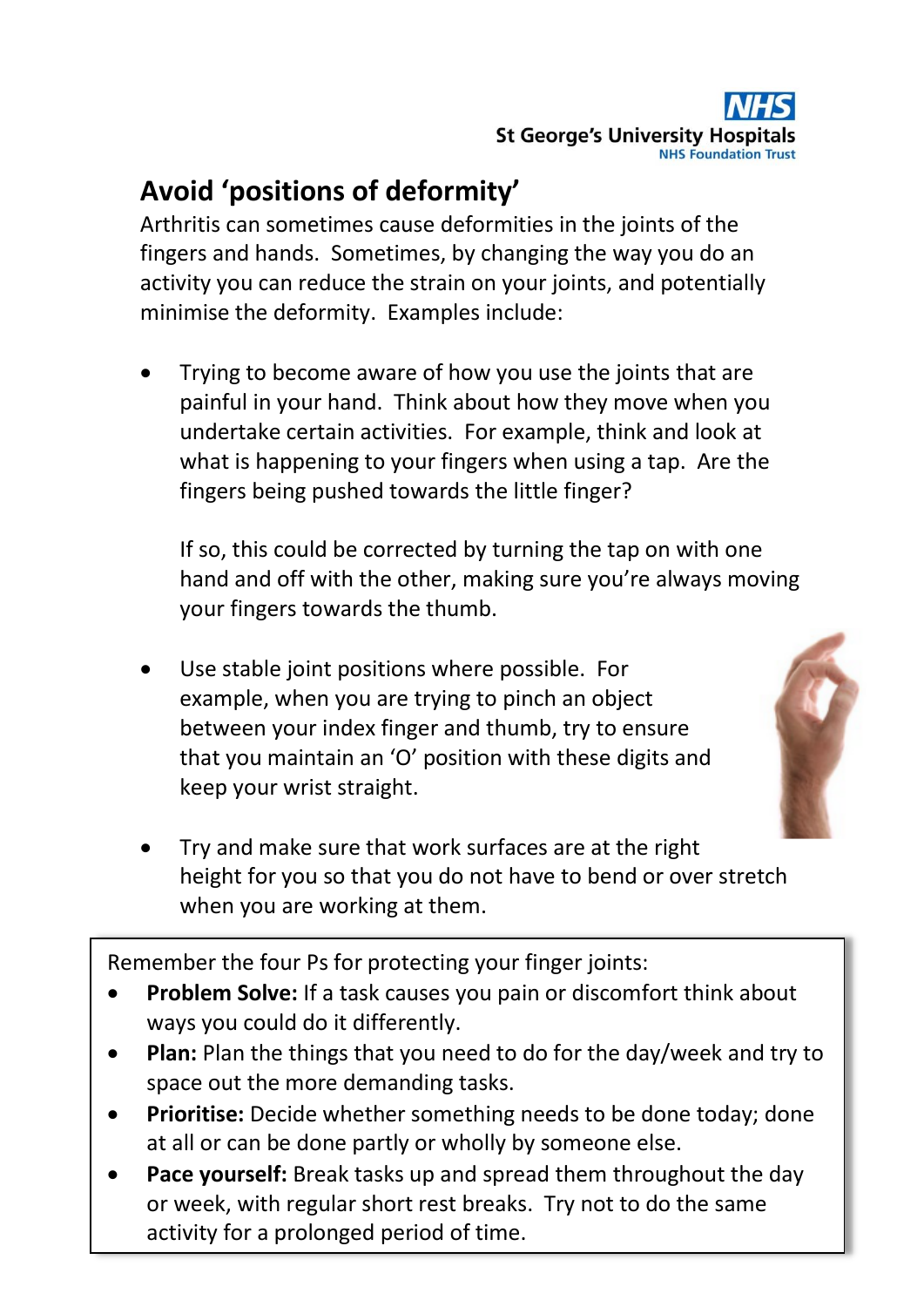

# **Avoid 'positions of deformity'**

Arthritis can sometimes cause deformities in the joints of the fingers and hands. Sometimes, by changing the way you do an activity you can reduce the strain on your joints, and potentially minimise the deformity. Examples include:

 Trying to become aware of how you use the joints that are painful in your hand. Think about how they move when you undertake certain activities. For example, think and look at what is happening to your fingers when using a tap. Are the fingers being pushed towards the little finger?

If so, this could be corrected by turning the tap on with one hand and off with the other, making sure you're always moving your fingers towards the thumb.

 Use stable joint positions where possible. For example, when you are trying to pinch an object between your index finger and thumb, try to ensure that you maintain an 'O' position with these digits and keep your wrist straight.



 Try and make sure that work surfaces are at the right height for you so that you do not have to bend or over stretch when you are working at them.

Remember the four Ps for protecting your finger joints:

- **Problem Solve:** If a task causes you pain or discomfort think about ways you could do it differently.
- **Plan:** Plan the things that you need to do for the day/week and try to space out the more demanding tasks.
- **Prioritise:** Decide whether something needs to be done today; done at all or can be done partly or wholly by someone else.
- or week, with regular short rest breaks. Try not to do the same **Pace yourself:** Break tasks up and spread them throughout the day activity for a prolonged period of time.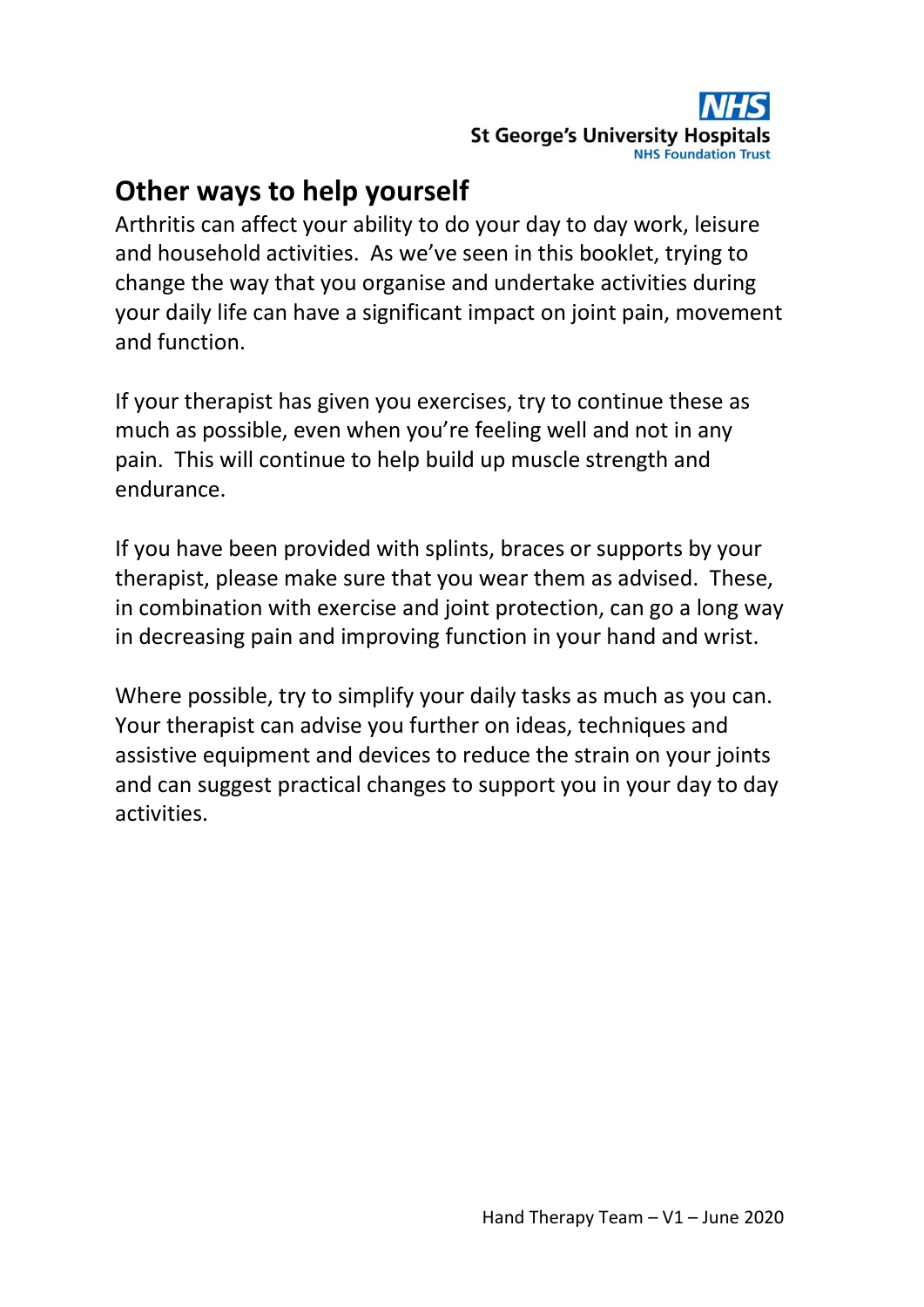## **Other ways to help yourself**

Arthritis can affect your ability to do your day to day work, leisure and household activities. As we've seen in this booklet, trying to change the way that you organise and undertake activities during your daily life can have a significant impact on joint pain, movement and function.

If your therapist has given you exercises, try to continue these as much as possible, even when you're feeling well and not in any pain. This will continue to help build up muscle strength and endurance.

If you have been provided with splints, braces or supports by your therapist, please make sure that you wear them as advised. These, in combination with exercise and joint protection, can go a long way in decreasing pain and improving function in your hand and wrist.

Where possible, try to simplify your daily tasks as much as you can. Your therapist can advise you further on ideas, techniques and assistive equipment and devices to reduce the strain on your joints and can suggest practical changes to support you in your day to day activities.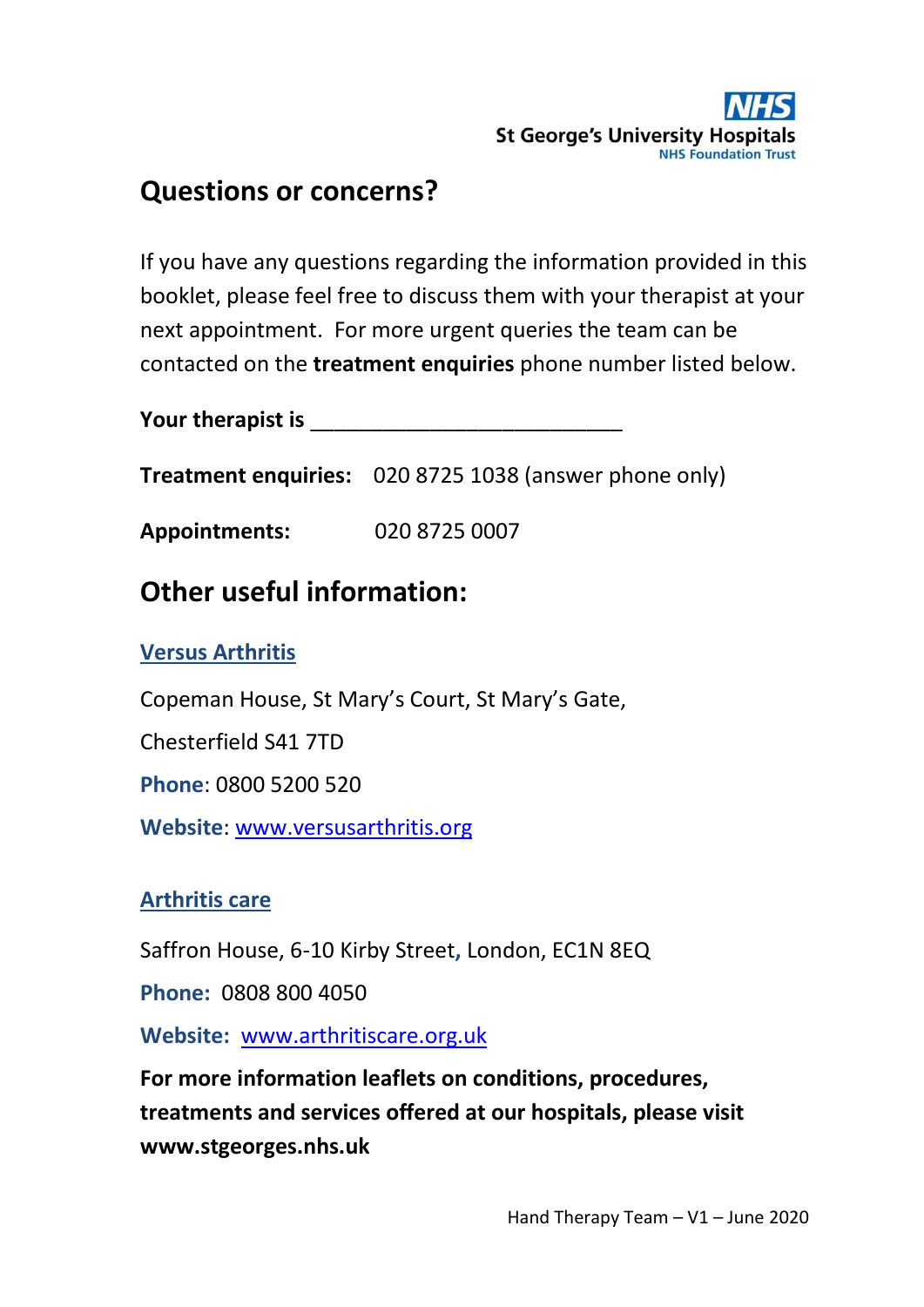## **Questions or concerns?**

If you have any questions regarding the information provided in this booklet, please feel free to discuss them with your therapist at your next appointment. For more urgent queries the team can be contacted on the **treatment enquiries** phone number listed below.

**Your therapist is** \_\_\_\_\_\_\_\_\_\_\_\_\_\_\_\_\_\_\_\_\_\_\_\_\_\_

**Treatment enquiries:** 020 8725 1038 (answer phone only)

**Appointments:** 020 8725 0007

## **Other useful information:**

#### **Versus Arthritis**

Copeman House, St Mary's Court, St Mary's Gate,

Chesterfield S41 7TD

**Phone**: 0800 5200 520

**Website**: [www.versusarthritis.org](http://www.versusarthritis.org/)

#### **Arthritis care**

Saffron House, 6-10 Kirby Street**,** London, EC1N 8EQ

**Phone:** 0808 800 4050

**Website:** [www.arthritiscare.org.uk](http://www.arthritiscare.org.uk/)

**For more information leaflets on conditions, procedures, treatments and services offered at our hospitals, please visit www.stgeorges.nhs.uk**